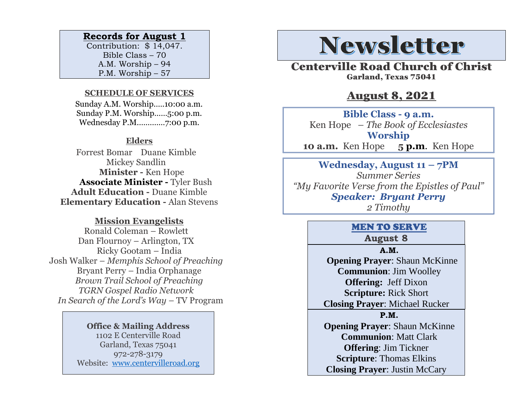#### **Records for August 1**

Contribution: \$ 14,047. Bible Class – 70 A.M. Worship – 94 P.M. Worship – 57

#### **SCHEDULE OF SERVICES**

 Sunday A.M. Worship.….10:00 a.m. Sunday P.M. Worship……5:00 p.m. Wednesday P.M.…………7:00 p.m.

#### **Elders**

Forrest Bomar Duane Kimble Mickey Sandlin  **Minister -** Ken Hope  **Associate Minister -** Tyler Bush **Adult Education -** Duane Kimble **Elementary Education -** Alan Stevens

#### **Mission Evangelists**

Ronald Coleman – Rowlett Dan Flournoy – Arlington, TX Ricky Gootam – India Josh Walker – *Memphis School of Preaching* Bryant Perry – India Orphanage *Brown Trail School of Preaching TGRN Gospel Radio Network In Search of the Lord's Way – TV Program* 

> **Office & Mailing Address** 1102 E Centerville Road Garland, Texas 75041 972-278-3179 Website: [www.centervilleroad.org](https://d.docs.live.net/97e199c461b763eb/Newsletter/News%202020/August%202020/www.centervilleroad.org)

# **Newsletter**

Centerville Road Church of Christ Garland, Texas 75041

## August 8, 2021

**Bible Class - 9 a.m.** Ken Hope *– The Book of Ecclesiastes* **Worship 10 a.m.** Ken Hope **5 p.m**. Ken Hope

**Wednesday, August 11 – 7PM** *Summer Series "My Favorite Verse from the Epistles of Paul" Speaker: Bryant Perry 2 Timothy*

## MEN TO SERVE

### **August 8**

**A.M.**

 **Opening Prayer**: Shaun McKinne **Communion**: Jim Woolley **Offering:** Jeff Dixon **Scripture:** Rick Short **Closing Prayer**: Michael Rucker **P.M. Opening Prayer: Shaun McKinne Communion**: Matt Clark **Offering**: Jim Tickner **Scripture**: Thomas Elkins **Closing Prayer**: Justin McCary